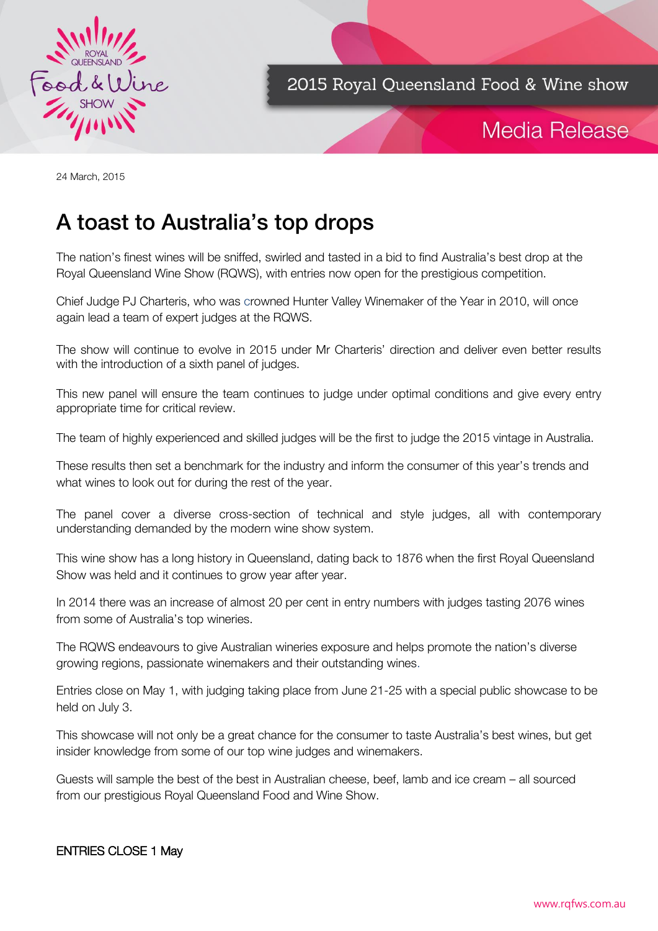

2015 Royal Queensland Food & Wine show

## Media Release

24 March, 2015

# A toast to Australia's top drops

The nation's finest wines will be sniffed, swirled and tasted in a bid to find Australia's best drop at the Royal Queensland Wine Show (RQWS), with entries now open for the prestigious competition.

Chief Judge PJ Charteris, who was crowned Hunter Valley Winemaker of the Year in 2010, will once again lead a team of expert judges at the RQWS.

The show will continue to evolve in 2015 under Mr Charteris' direction and deliver even better results with the introduction of a sixth panel of judges.

This new panel will ensure the team continues to judge under optimal conditions and give every entry appropriate time for critical review.

The team of highly experienced and skilled judges will be the first to judge the 2015 vintage in Australia.

These results then set a benchmark for the industry and inform the consumer of this year's trends and what wines to look out for during the rest of the year.

The panel cover a diverse cross-section of technical and style judges, all with contemporary understanding demanded by the modern wine show system.

This wine show has a long history in Queensland, dating back to 1876 when the first Royal Queensland Show was held and it continues to grow year after year.

In 2014 there was an increase of almost 20 per cent in entry numbers with judges tasting 2076 wines from some of Australia's top wineries.

The RQWS endeavours to give Australian wineries exposure and helps promote the nation's diverse growing regions, passionate winemakers and their outstanding wines.

Entries close on May 1, with judging taking place from June 21-25 with a special public showcase to be held on July 3.

This showcase will not only be a great chance for the consumer to taste Australia's best wines, but get insider knowledge from some of our top wine judges and winemakers.

Guests will sample the best of the best in Australian cheese, beef, lamb and ice cream – all sourced from our prestigious Royal Queensland Food and Wine Show.

#### ENTRIES CLOSE 1 May